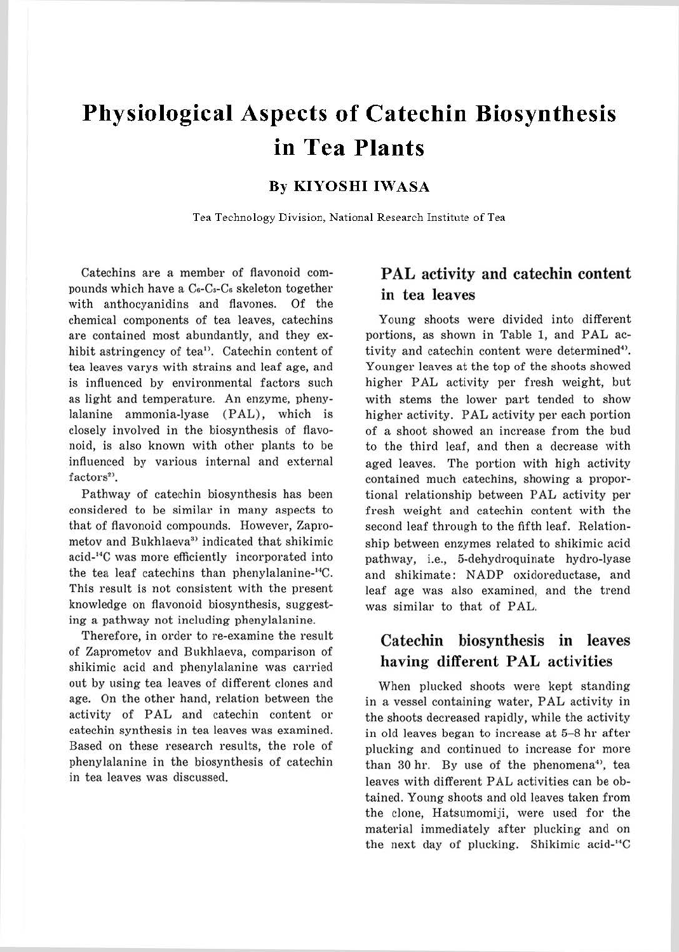# **Physiological Aspects of Catechin Biosynthesis in Tea Plants**

#### **By KI YOSHI IWASA**

Tea Technology Division, National Research Institute of Tea

Catechins are a member of flavonoid compounds which have a C<sub>6</sub>-C<sub>8</sub>-C<sub>6</sub> skeleton together with anthocyanidins and flavones. Of the chemical components of tea leaves, catechins are contained most abundantly, and they exhibit astringency of tea<sup>1</sup>. Catechin content of tea leaves varys with strains and leaf age, and is influenced by environmental factors such as light and temperature. An enzyme, phenylalanine ammonia-lyase (PAL), which is closely involved in the biosynthesis of flavonoid, is also known with other plants to be influenced by various internal and external  $factors<sup>2</sup>$ 

Pathway of catechin biosynthesis has been considered to be similar in many aspects to that of flavonoid compounds. However, Zaprometov and Bukhlaeva<sup>3</sup> indicated that shikimic acid-14C was more efficiently incorporated into the tea leaf catechins than phenylalanine-"'C. This result is not consistent with the present knowledge on flavonoid biosynthesis, suggesting a pathway not including phenylalanine.

Therefore, in order to re-examine the result of Zaprometov and Bukhlaeva, comparison of shikimic acid and phenylalanine was carried out by using tea leaves of different clones and age. On the other hand, relation between the activity of PAL and catechin content or catechin synthesis in tea leaves was examined. Based on these research results, the role of phenylalanine in the biosynthesis of catechin in tea leaves was discussed.

### **PAL activity and catechin content in tea leaves**

Young shoots were divided into different portions, as shown in Table 1, and PAL activity and catechin content were determined<sup>4)</sup>. Younger leaves at the top of the shoots showed higher PAL activity per fresh weight, but with stems the lower part tended to show higher activity. PAL activity per each portion of a shoot showed an increase from the bud to the third leaf, and then a decrease with aged leaves. The portion with high activity contained much catechins, showing a proportional relationship between PAL activity per fresh weight and catechin content with the second leaf through to the fifth leaf. Relationship between enzymes related to shikimic acid pathway, i.e., 5-dehydroquinate hydro-lyase and shikimate: NADP oxidoreductase, and leaf age was also examined, and the trend was similar to that of PAL.

### **Catechin biosynthesis in leaves having different PAL activities**

When plucked shoots were kept standing in a vessel containing water, PAL activity in the shoots decreased rapidly, while the activity in old leaves began to increase at 5-8 hr after plucking and continued to increase for more than 30 hr. By use of the phenomena<sup>4</sup>, tea leaves with different PAL activities can be obtained. Young shoots and old leaves taken from the clone, Hatsumomiji, were used for the material immediately after plucking and on the next day of plucking. Shikimic acid-'''C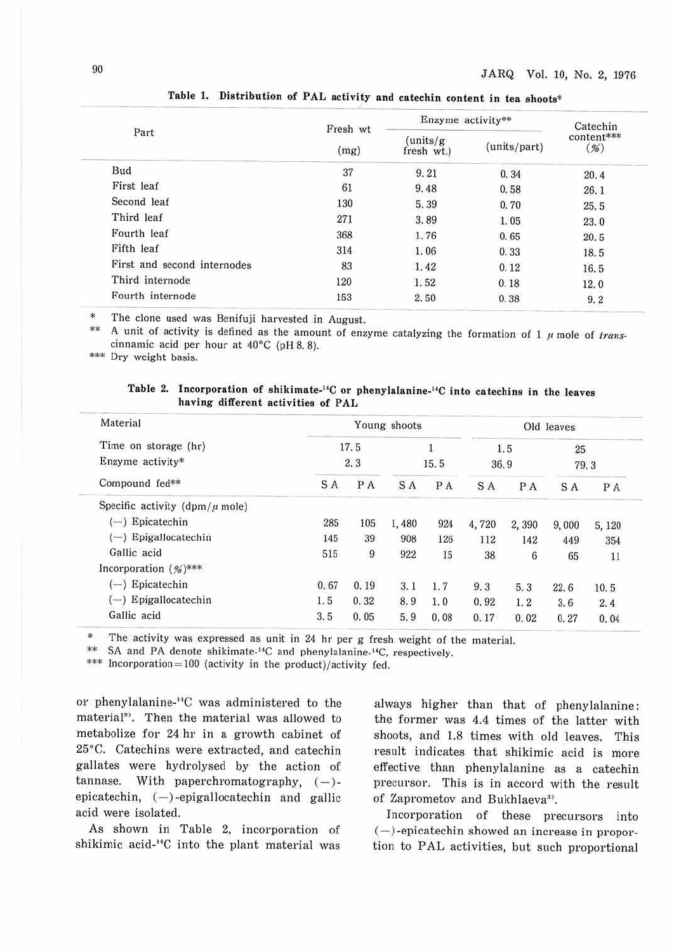|                             | Fresh wt | Enzyme activity**       | Catechin     |                      |
|-----------------------------|----------|-------------------------|--------------|----------------------|
| Part                        | (mg)     | (units/g)<br>fresh wt.) | (units/part) | content***<br>$(\%)$ |
| Bud                         | 37       | 9.21                    | 0.34         | 20.4                 |
| First leaf                  | 61       | 9.48                    | 0.58         | 26.1                 |
| Second leaf                 | 130      | 5.39                    | 0.70         | 25.5                 |
| Third leaf                  | 271      | 3.89                    | 1.05         | 23.0                 |
| Fourth leaf                 | 368      | 1.76                    | 0.65         | 20.5                 |
| Fifth leaf                  | 314      | 1.06                    | 0.33         | 18.5                 |
| First and second internodes | 83       | 1.42                    | 0.12         | 16.5                 |
| Third internode             | 120      | 1.52                    | 0.18         | 12.0                 |
| Fourth internode            | 153      | 2.50                    | 0.38         | 9.2                  |

**Table 1. Distribution of PAL activity and catechin content** in **tea shoots\*** 

The clone used was Benifuji harvested in August.

\*\* A unit of activity is defined as the amount of enzyme catalyzing the formation of  $1 \mu$  mole of *trans*cinnamic acid per hour at 40°C (pH 8. 8).

\*\*\* Dry weight basis.

| Table 2. Incorporation of shikimate- <sup>14</sup> C or phenylalanine- <sup>14</sup> C into catechins in the leaves |
|---------------------------------------------------------------------------------------------------------------------|
| having different activities of PAL                                                                                  |

| Material                            |      | Young shoots |       | Old leaves |       |       |       |       |
|-------------------------------------|------|--------------|-------|------------|-------|-------|-------|-------|
| Time on storage (hr)                |      | 17.5         |       |            |       | 1.5   | 25    |       |
| Enzyme activity*                    |      | 2, 3         |       | 15.5       | 36.9  |       | 79.3  |       |
| Compound fed**                      | S A  | P A          | S A   | P A        | S A   | P A   | S A   | P A   |
| Specific activity (dpm/ $\mu$ mole) |      |              |       |            |       |       |       |       |
| $(-)$ Epicatechin                   | 285  | 105          | 1,480 | 924        | 4,720 | 2,390 | 9,000 | 5,120 |
| $(-)$ Epigallocatechin              | 145  | 39           | 908   | 126        | 112   | 142   | 449   | 354   |
| Gallic acid                         | 515  | 9            | 922   | 15         | 38    | 6     | 65    | 11    |
| Incorporation $(\frac{9}{6})$ ***   |      |              |       |            |       |       |       |       |
| $(-)$ Epicatechin                   | 0.67 | 0.19         | 3.1   | 1.7        | 9,3   | 5.3   | 22.6  | 10.5  |
| Epigallocatechin<br>$-1$            | 1.5  | 0.32         | 8.9   | 1.0        | 0.92  | 1.2   | 3.6   | 2.4   |
| Gallic acid                         | 3.5  | 0.05         | 5.9   | 0.08       | 0.17  | 0.02  | 0.27  | 0.04  |

\* The activity was expressed as unit in 24 hr per g fresh weight of the material.

\*\* SA and PA denote shikimate-<sup>14</sup>C and phenylalanine-<sup>14</sup>C, respectively.

\*\*\* Incorporation = 100 (activity in the product)/activity fed.

or phenylalanine-<sup>14</sup>C was administered to the material<sup>9</sup>. Then the material was allowed to metabolize for 24 hr in a growth cabinet of 25°C. Catechins were extracted, and catechin gallates were hydrolysed by the action of tannase. With paperchromatography,  $(-)$ epicatechin,  $(-)$ -epigallocatechin and gallic acid were isolated.

As shown in Table 2, incorporation of shikimic acid-<sup>14</sup>C into the plant material was always higher than that of phenylalanine: the former was 4.4 times of the latter with shoots, and 1.8 times with old leaves. This result indicates that shikimic acid is more effective than phenylalanine as a catechin precursor. This is in accord with the result of Zaprometov and Bukhlaeva<sup>3</sup>.

Incorporation of these precursors into  $(-)$ -epicatechin showed an increase in proportion to PAL activities, but such proportional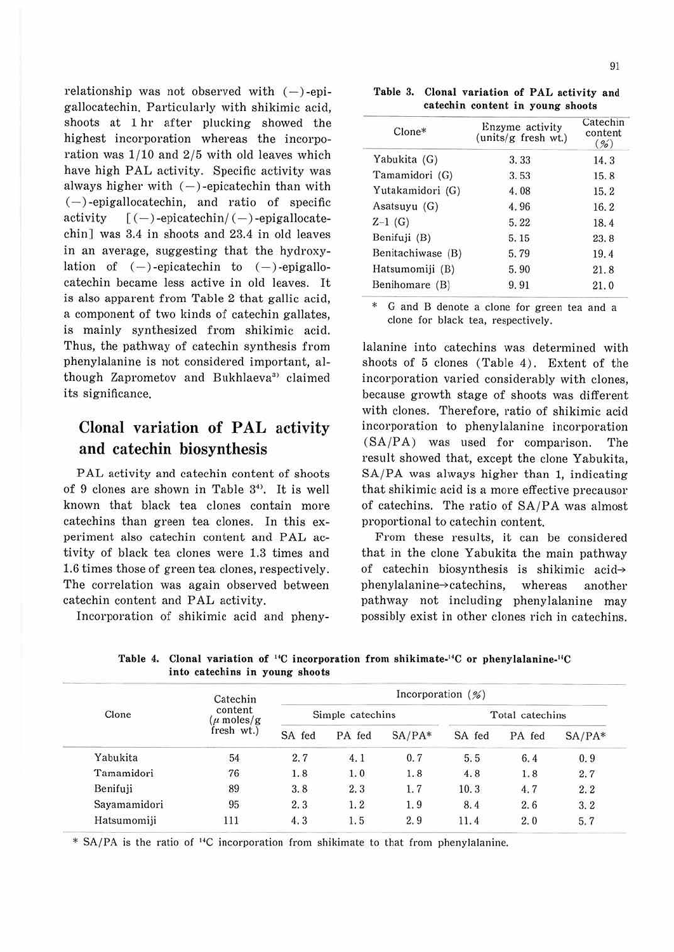relationship was not observed with  $(-)$ -epigallocatechin. Particularly with shikimic acid, shoots at 1 hr after plucking showed the highest incorporation whereas the incorporation was 1/10 and 2/5 with old leaves which have high PAL activity. Specific activity was always higher with  $(-)$ -epicatechin than with  $(-)$ -epigallocatechin, and ratio of specific activity  $[(-)$ -epicatechin/ $(-)$ -epigallocatechin] was 3.4 in shoots and 23.4 in old leaves in an average, suggesting that the hydroxylation of  $(-)$ -epicatechin to  $(-)$ -epigallocatechin became less active in old leaves. It is also apparent from Table 2 that gallic acid, a component of two kinds of catechin gallates, is mainly synthesized from shikimic acid. Thus, the pathway of catechin synthesis from phenylalanine is not considered important, although Zaprometov and Bukhlaeva<sup>3</sup> claimed its significance.

# **Clonal variation of PAL activity and catechin biosynthesis**

PAL activity and catechin content of shoots of 9 clones are shown in Table 3<sup>4)</sup>. It is well known that black tea clones contain more catechins than green tea clones. In this experiment also catechin content and PAL activity of black tea clones were 1.3 times and 1.6 times those of green tea clones, respectively. The correlation was again observed between catechin content and PAL activity.

Incorporation of shikimic acid and pheny-

**Table 3. Clonal variation of PAL activity and catechin content in young shoots** 

| $C$ lone $*$      | Enzyme activity<br>(units/g fresh wt.) | Catechin<br>content<br>(96) |  |  |
|-------------------|----------------------------------------|-----------------------------|--|--|
| Yabukita (G)      | 3.33                                   | 14.3                        |  |  |
| Tamamidori (G)    | 3.53                                   | 15.8                        |  |  |
| Yutakamidori (G)  | 4.08                                   | 15.2                        |  |  |
| Asatsuyu (G)      | 4.96                                   | 16.2                        |  |  |
| $Z-1$ (G)         | 5.22                                   | 18.4                        |  |  |
| Benifuji (B)      | 5.15                                   | 23.8                        |  |  |
| Benitachiwase (B) | 5.79                                   | 19.4                        |  |  |
| Hatsumomiji (B)   | 5.90                                   | 21.8                        |  |  |
| Benihomare (B)    | 9.91                                   | 21.0                        |  |  |

G and B denote a clone for green tea and a clone for black tea, respectively.

lalanine into catechins was determined with shoots of 5 clones (Table 4). Extent of the incorporation varied considerably with clones, because growth stage of shoots was different with clones. Therefore, ratio of shikimic acid incorporation to phenylalanine incorporation  $(SA/PA)$  was used for comparison. The result showed that, except the clone Yabukita, SA/PA was always higher than 1, indicating that shikimic acid is a more effective precausor of catechins. The ratio of SA/PA was almost proportional to catechin content.

From these results, it can be considered that in the clone Yabukita the main pathway of catechin biosynthesis is shikimic acidphenylalanine~ catechins, whereas another pathway not including phenylalanine may possibly exist in other clones rich in catechins.

| Clone        | Catechin                               | Incorporation $(\frac{\%}{\%})$ |        |          |                 |        |          |  |  |
|--------------|----------------------------------------|---------------------------------|--------|----------|-----------------|--------|----------|--|--|
|              | content<br>$\mu$ moles/g<br>fresh wt.) | Simple catechins                |        |          | Total catechins |        |          |  |  |
|              |                                        | SA fed                          | PA fed | $SA/PA*$ | SA fed          | PA fed | $SA/PA*$ |  |  |
| Yabukita     | 54                                     | 2.7                             | 4.1    | 0.7      | 5.5             | 6.4    | 0.9      |  |  |
| Tamamidori   | 76                                     | 1.8                             | 1.0    | 1.8      | 4.8             | 1.8    | 2.7      |  |  |
| Benifuji     | 89                                     | 3.8                             | 2.3    | 1.7      | 10.3            | 4.7    | 2.2      |  |  |
| Sayamamidori | 95                                     | 2.3                             | 1.2    | 1.9      | 8.4             | 2.6    | 3.2      |  |  |
| Hatsumomiji  | 111                                    | 4.3                             | 1.5    | 2.9      | 11.4            | 2.0    | 5.7      |  |  |

Table 4. Clonal variation of <sup>14</sup>C incorporation from shikimate-<sup>14</sup>C or phenylalanine-<sup>14</sup>C **into catechins in young shoots** 

\* SA/PA is the ratio of <sup>14</sup>C incorporation from shikimate to that from phenylalanine.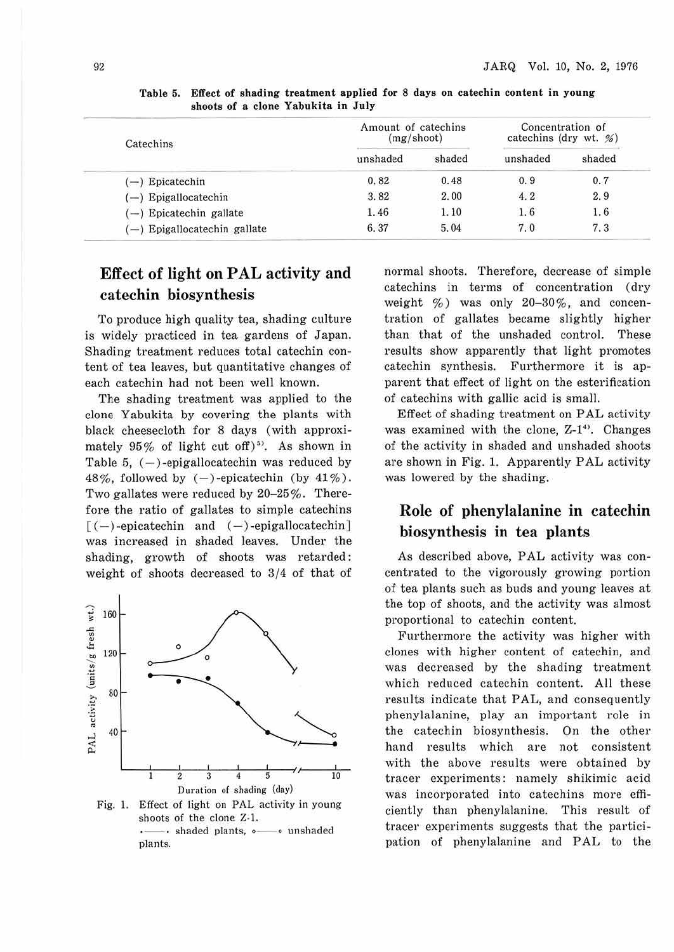| Catechins                    | Amount of catechins<br>$(mg/\shoot)$ | Concentration of<br>catechins (dry wt. $\frac{\%}{\%}$ ) |          |        |
|------------------------------|--------------------------------------|----------------------------------------------------------|----------|--------|
|                              | unshaded                             | shaded                                                   | unshaded | shaded |
| $(-)$ Epicatechin            | 0.82                                 | 0.48                                                     | 0.9      | 0.7    |
| $(-)$ Epigallocatechin       | 3.82                                 | 2.00                                                     | 4.2      | 2.9    |
| (-) Epicatechin gallate      | 1.46                                 | 1.10                                                     | 1.6      | 1.6    |
| (-) Epigallocatechin gallate | 6.37                                 | 5.04                                                     | 7.0      | 7,3    |

**Table 5. Effect of shading treatment applied for 8 days on catechin content in young shoots of a clone Yabukita in July** 

# Effect of light on PAL activity and catechin biosynthesis

To produce high quality tea, shading culture is widely practiced in tea gardens of Japan. Shading treatment reduces total catechin content of tea leaves, but quantitative changes of each catechin had not been well known.

The shading treatment was applied to the clone Yabukita by covering the plants with black cheesecloth for 8 days (with approximately  $95\%$  of light cut off)<sup>5)</sup>. As shown in Table 5,  $(-)$ -epigallocatechin was reduced by 48%, followed by  $(-)$ -epicatechin (by 41%). Two gallates were reduced by 20-25%. Therefore the ratio of gallates to simple catechins  $[(-)$ -epicatechin and  $(-)$ -epigallocatechin] was increased in shaded leaves. Under the shading, growth of shoots was retarded: weight of shoots decreased to 3/4 of that of



shoots of the clone Z-1. ·- · shaded plants, ·- · unshaded plants.

normal shoots. Therefore, decrease of simple catechins in terms of concentration (dry weight  $\%$ ) was only 20-30%, and concentration of gallates became slightly higher than that of the unshaded control. These results show apparently that light promotes catechin synthesis. Furthermore it is apparent that effect of light on the esterification of catechins with gallic acid is small.

Effect of shading treatment on PAL activity was examined with the clone, Z-1<sup>4)</sup>. Changes of the activity in shaded and unshaded shoots are shown in Fig. 1. Apparently PAL activity was lowered by the shading.

## Role of phenylalanine in catechin biosynthesis in tea plants

As described above, PAL activity was concentrated to the vigorously growing portion of tea plants such as buds and young leaves at the top of shoots, and the activity was almost proportional to catechin content.

Furthermore the activity was higher with clones with higher content of catechin, and was decreased by the shading treatment which reduced catechin content. All these results indicate that PAL, and consequently phenylalanine, play an important role in the catechin biosynthesis. On the other hand results which are not consistent with the above results were obtained by tracer experiments: namely shikimic acid was incorporated into catechins more efficiently than phenylalanine. This result of tracer experiments suggests that the participation of phenylalanine and PAL to the